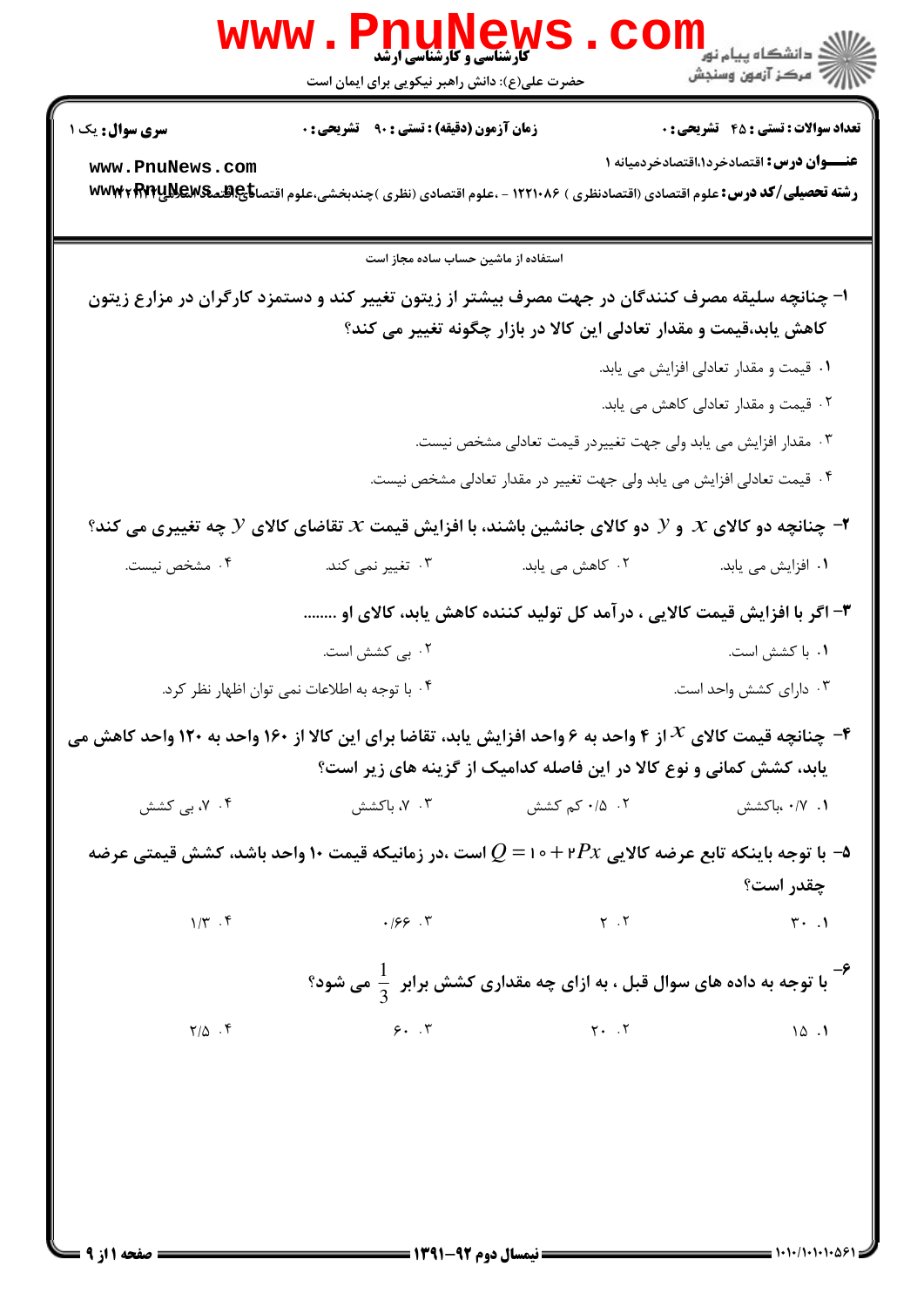|                                                                                                                                                        | Www.PnuNews                                                                                                                                        |                                                                        | دانشگاه پیام نور ¶<br>ا <mark>∛</mark> مرکز آزمون وسنجش  |  |  |
|--------------------------------------------------------------------------------------------------------------------------------------------------------|----------------------------------------------------------------------------------------------------------------------------------------------------|------------------------------------------------------------------------|----------------------------------------------------------|--|--|
| <b>سری سوال :</b> یک ۱                                                                                                                                 | حضرت علی(ع): دانش راهبر نیکویی برای ایمان است<br><b>زمان آزمون (دقیقه) : تستی : ۹۰ قشریحی : 0</b>                                                  |                                                                        | <b>تعداد سوالات : تستي : 45 ٪ تشریحي : 0</b>             |  |  |
| www.PnuNews.com                                                                                                                                        | رشته تحصیلی/کد درس: علوم اقتصادی (اقتصادنظری ) ۱۲۲۱۰۸۶ - ،علوم اقتصادی (نظری )چندبخشی،علوم اقتصا <del>ناچ@ت</del> عکیهییکیا <del>۷۷۳</del> ۲ www۴۲ |                                                                        | <b>عنـــوان درس:</b> اقتصادخرد۱ <b>،اقتصادخردمیانه</b> ۱ |  |  |
|                                                                                                                                                        | استفاده از ماشین حساب ساده مجاز است                                                                                                                |                                                                        |                                                          |  |  |
|                                                                                                                                                        | ا– چنانچه سلیقه مصرف کنندگان در جهت مصرف بیشتر از زیتون تغییر کند و دستمزد کارگران در مزارع زیتون                                                  | کاهش یابد،قیمت و مقدار تعادلی این کالا در بازار چگونه تغییر می کند؟    |                                                          |  |  |
|                                                                                                                                                        |                                                                                                                                                    |                                                                        | ۰۱ قیمت و مقدار تعادلی افزایش می یابد.                   |  |  |
|                                                                                                                                                        |                                                                                                                                                    |                                                                        | ۰۲ قیمت و مقدار تعادلی کاهش می یابد.                     |  |  |
| ۰۳ مقدار افزایش می یابد ولی جهت تغییردر قیمت تعادلی مشخص نیست.                                                                                         |                                                                                                                                                    |                                                                        |                                                          |  |  |
|                                                                                                                                                        |                                                                                                                                                    | ۰۴ قیمت تعادلی افزایش می یابد ولی جهت تغییر در مقدار تعادلی مشخص نیست. |                                                          |  |  |
| جنانچه دو کالای ${\mathcal X}$ و ${\mathcal Y}$ دو کالای جانشین باشند، با افزایش قیمت ${\mathcal X}$ تقاضای کالای ${\mathcal Y}$ چه تغییری می کند؟ $^$ |                                                                                                                                                    |                                                                        |                                                          |  |  |
| ۰۴ مشخص نیست.                                                                                                                                          | ۰۳ تغییر نمی کند.                                                                                                                                  | ۲. کاهش می یابد.                                                       | ۰۱ افزایش می یابد.                                       |  |  |
| ۳- اگر با افزایش قیمت کالایی ، درآمد کل تولید کننده کاهش یابد، کالای او                                                                                |                                                                                                                                                    |                                                                        |                                                          |  |  |
|                                                                                                                                                        | ۰۲ بی کشش است.                                                                                                                                     |                                                                        | ۰۱ با کشش است.                                           |  |  |
|                                                                                                                                                        | ۰۴ با توجه به اطلاعات نمی توان اظهار نظر کرد.                                                                                                      |                                                                        | ۰۳ دارای کشش واحد است.                                   |  |  |
|                                                                                                                                                        | جنانچه قیمت کالای ${\cal X}$ از ۴ واحد به ۶ واحد افزایش یابد، تقاضا برای این کالا از ۱۶۰ واحد به ۱۲۰ واحد کاهش می $^{\cal X}$                      | یابد، کشش کمانی و نوع کالا در این فاصله کدامیک از گزینه های زیر است؟   |                                                          |  |  |
| ۰۴ ، ۷ بی کشش                                                                                                                                          |                                                                                                                                                    |                                                                        |                                                          |  |  |
| ا توجه باینکه تابع عرضه کالایی ۱۰+۳ $P$ - ۱ $Q=0$ است ،در زمانیکه قیمت ۱۰ واحد باشد، کشش قیمتی عرضه $\rightarrow$<br>چقدر است؟                         |                                                                                                                                                    |                                                                        |                                                          |  |  |
| $1/\Upsilon$ . $\Upsilon$                                                                                                                              | $(199.7)$ $(199.7)$                                                                                                                                |                                                                        |                                                          |  |  |
| با توجه به داده های سوال قبل ، به ازای چه مقداری کشش برابر $\frac{1}{2}$ می شود؟ $^+$                                                                  |                                                                                                                                                    |                                                                        |                                                          |  |  |
| $Y/\Delta$ .                                                                                                                                           |                                                                                                                                                    | $9.7$ $10.1$                                                           |                                                          |  |  |
|                                                                                                                                                        |                                                                                                                                                    |                                                                        |                                                          |  |  |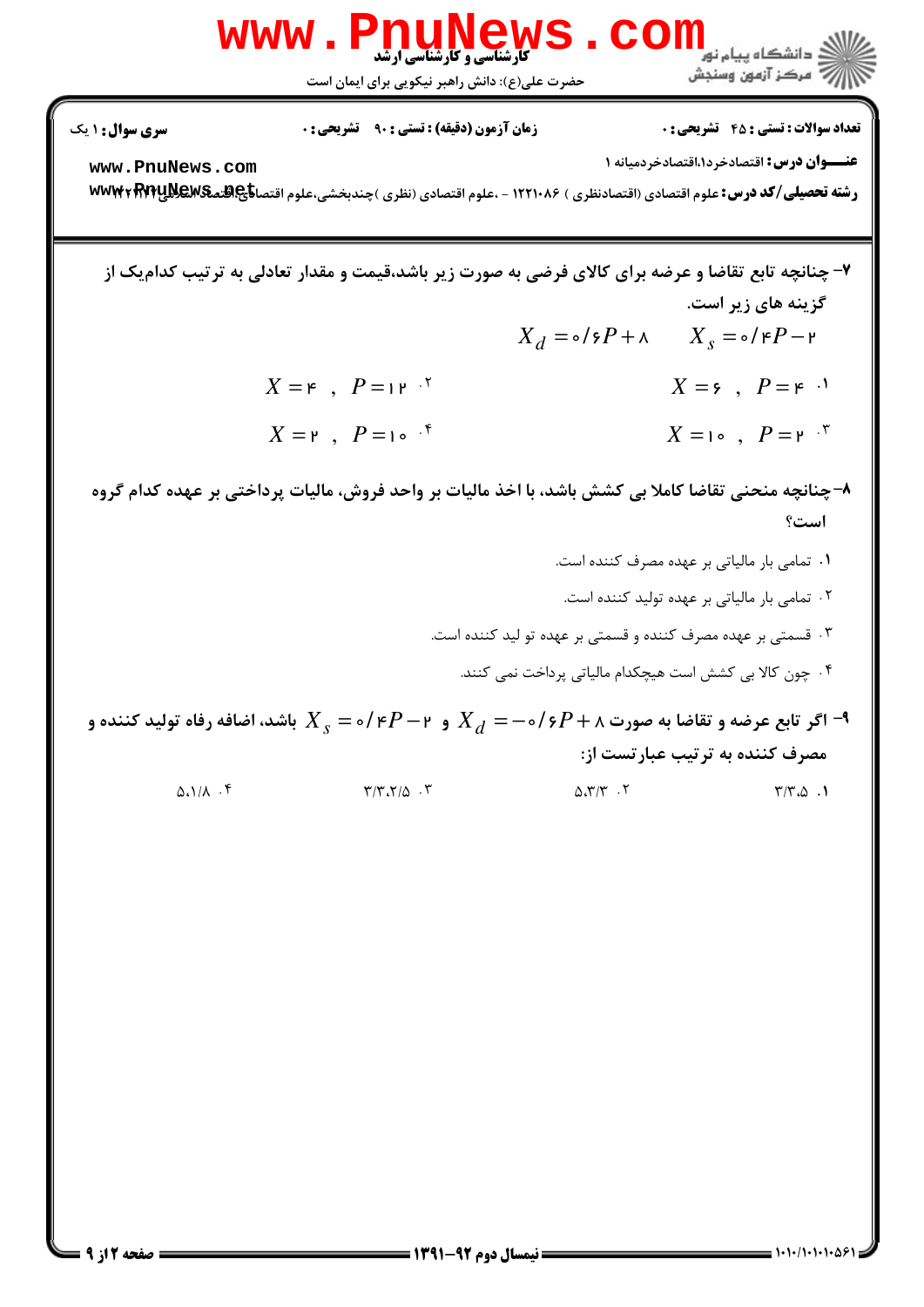

اگر تابع عرضه و تقاضا به صورت  $P+\gamma+\gamma+\gamma$  و  $P-\gamma$  و  $X$  و  $X_{\rm s}=\lambda$  باشد، اضافه رفاه تولید کننده و  $\lambda$ مصرف کننده به ترتیب عبارتست از:

> $\Delta \Lambda / \Lambda$ .۴  $\Upsilon/\Upsilon, \Upsilon/\Delta$ .  $\Delta \mathcal{X}/\mathcal{Y}$ .  $\mathcal{Y}$  $\Upsilon/\Upsilon_{c}\Delta$ .

 $= 1.1 - 11.1 - 129$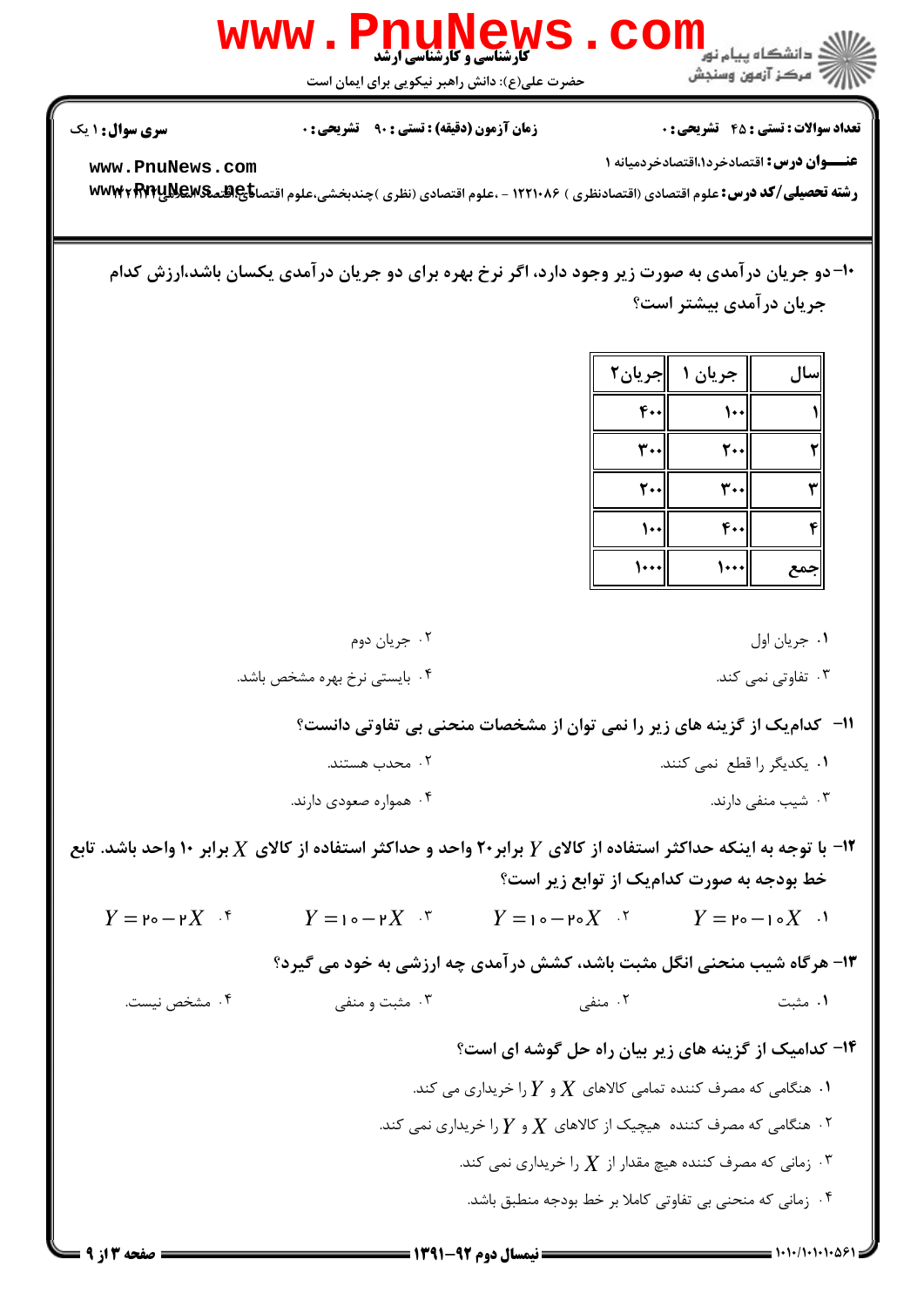

WWW.PnuNews.Com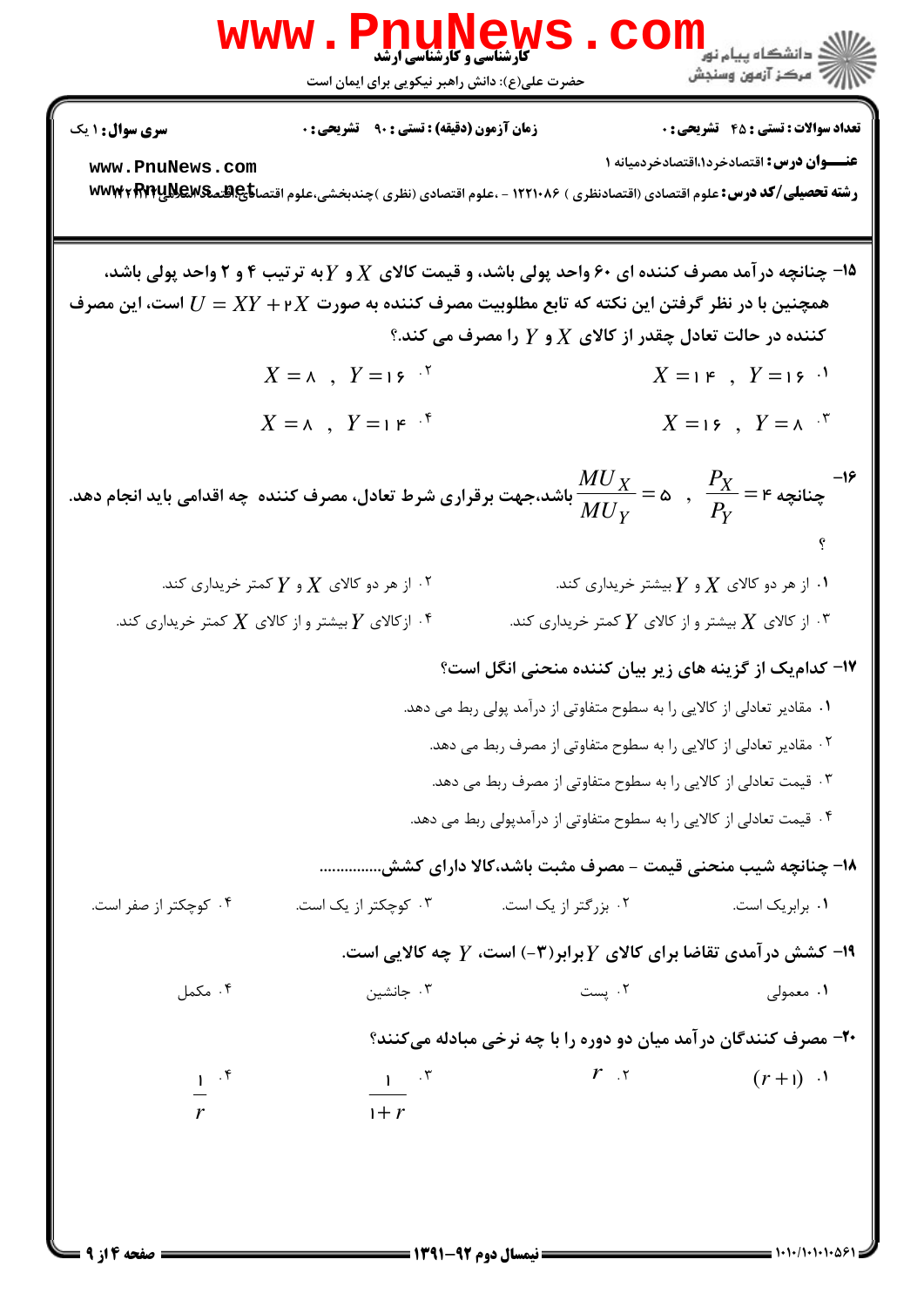

WWW.PnuMews.Com

حضرت علی(ع): دانش راهبر نیکویی برای ایمان است

أأزأته مركز آزمون وسنجش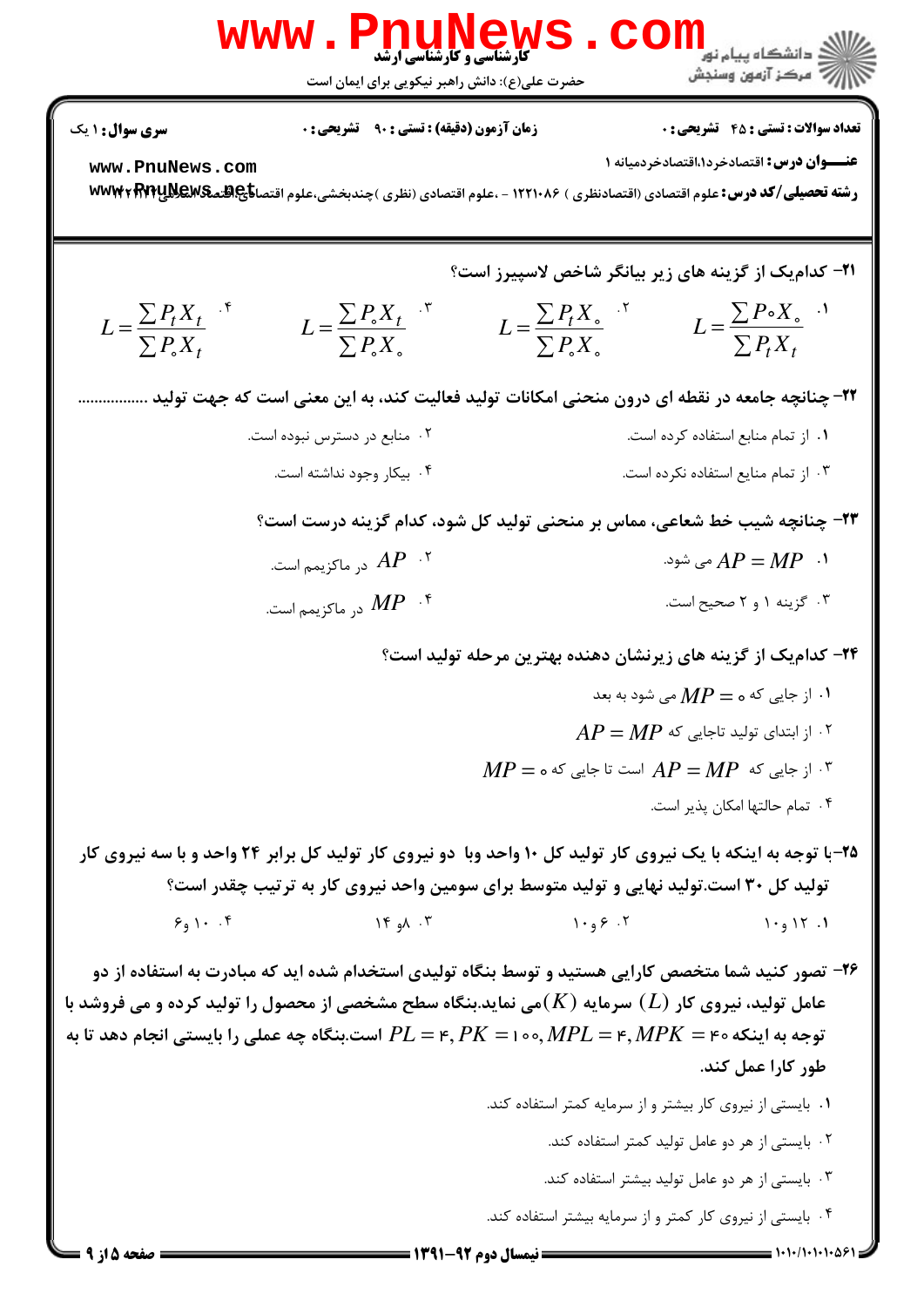

**کارشناسی و کارشناسی ارشد** حضرت علی(ع): دانش راهبر نیکویی برای ایمان است

**تعداد سوالات : تستي : 45 - تشريحي : 0** 

عنــوان درس: اقتصادخرد۱.اقتصادخردمیانه ۱

www.PnuNews.com رشته تحصیلی/کد درس: علوم اقتصادی (اقتصادنظری ) ۱۲۲۱۰۸۶ - ،علوم اقتصادی (نظری )چندبخشی،علوم اقتصا<del>ناچ هنه WW۳۲ RTY</del>UNEWS

**۲۱- کدامیک از گزینه های زیر بیانگر شاخص لاسپیرز است؟** 

$$
L = \frac{\sum P_t X_t}{\sum P_s X_t}^{K}
$$
 
$$
L = \frac{\sum P_s X_t}{\sum P_s X_s}^{K}
$$
 
$$
L = \frac{\sum P_t X_s}{\sum P_s X_s}^{K}
$$
 
$$
L = \frac{\sum P \cdot X_s}{\sum P_t X_t}^{K}
$$

۲۲– چنانچه جامعه در نقطه ای درون منحنی امکانات تولید فعالیت کند، به این معنی است که جهت تولید ...............

۰۲ منابع در دسترس نبوده است. ۰۱ از تمام منابع استفاده کرده است. ۰۴ بیکار وجود نداشته است. ۰۳ از تمام منایع استفاده نکرده است.

٢٣- چنانچه شيب خط شعاعي، مماس بر منحني توليد کل شود، کدام گزينه درست است؟

- ۰۲  $AP$  در ماکزیمم است. ۰۱  $AP = MP$  می شود.
- در ماکزیمم است.  $\emph{MP}$  . ۶ ۰۳ گزینه ۱ و ۲ صحیح است.

۲۴– کدامیک از گزینه های زیرنشان دهنده بهترین مرحله تولید است؟

۰۱ از جایی که ه $\boldsymbol{P}=M$  می شود به بعد  $\cdot$  $AP = MP$  ۱۰ ۱; ابتدای تولید تاجایی که  $MP = \circ \circ$ از جایی که  $AP = MP$  است تا جایی که  $P = MP$ 

۰۴ تمام حالتها امکان پذیر است.

۲۵-با توجه به اینکه با یک نیروی کار تولید کل ۱۰ واحد وبا دو نیروی کار تولید کل برابر ۲۴ واحد و با سه نیروی کار تولید کل ۳۰ است.تولید نهایی و تولید متوسط برای سومین واحد نیروی کار به ترتیب چقدر است؟  $\mathcal{F}_9 \setminus \cdot \cdot \cdot \mathcal{F}$  $Y^{\epsilon}$  and  $Y^{\epsilon}$  $1.95.7$  $1.917.1$ 

۲۶- تصور کنید شما متخصص کارایی هستید و توسط بنگاه تولیدی استخدام شده اید که مبادرت به استفاده از دو عامل تولید، نیروی کار  $(L)$  سرمایه  $(K)$ می نماید.بنگاه سطح مشخصی از محصول را تولید کرده و می فروشد با توجه به اینکه ه $L = r, MPL = N$  , ه ۱ = ۲, PK = ۱ میلی را بایستی انجام دهد تا به T $L = r, P$  است.بنگاه چه عملی را بایستی انجام دهد تا به طور کارا عمل کند.

- ٠١ بايستى از نيروى كار بيشتر و از سرمايه كمتر استفاده كند.
	- ۰۲ بایستی از هر دو عامل تولید کمتر استفاده کند.
	- ۰۳ بایستی از هر دو عامل تولید بیشتر استفاده کند.
- ۰۴ بایستی از نیروی کار کمتر و از سرمایه بیشتر استفاده کند.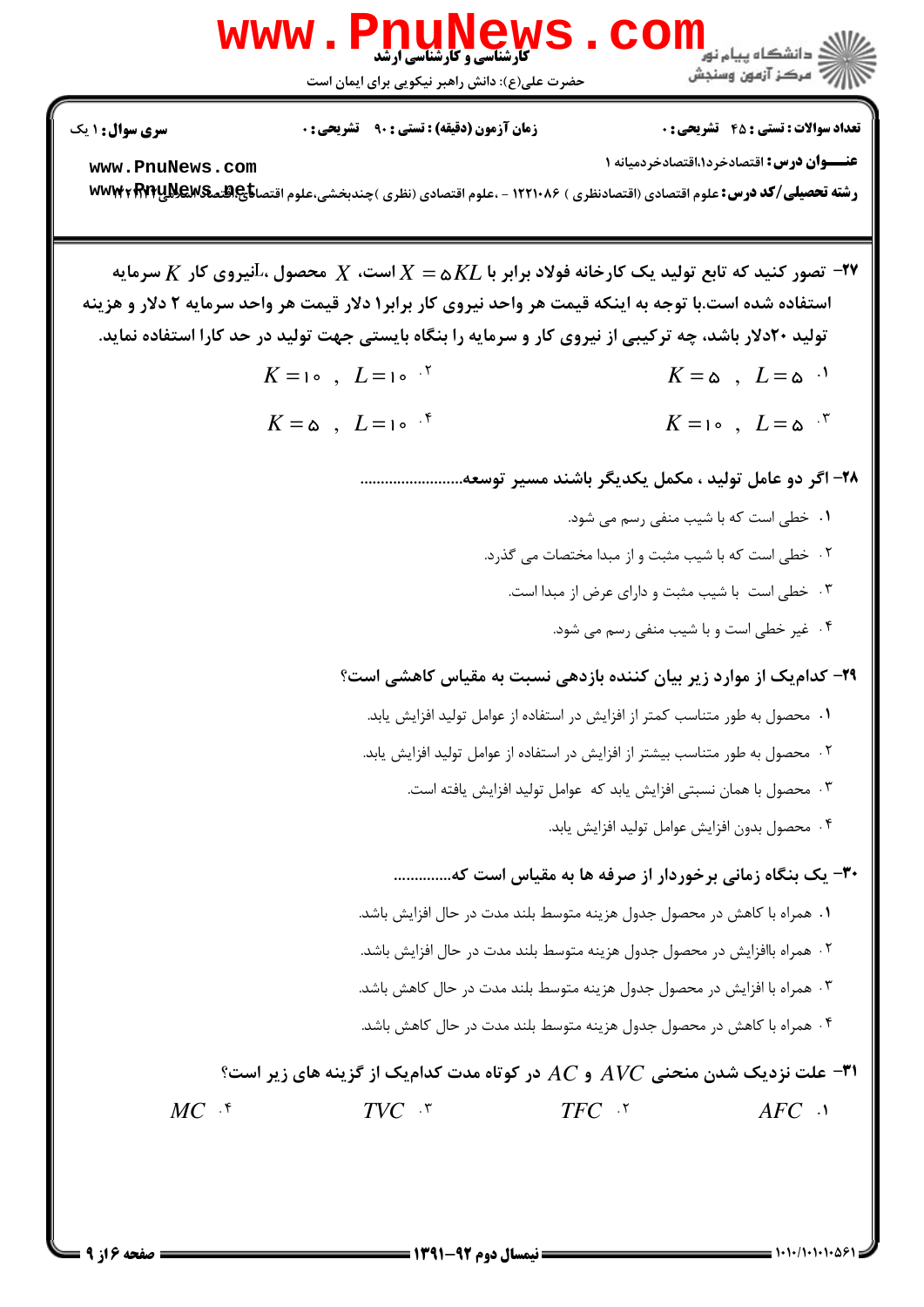

**سری سوال : ۱ یک** 

www.PnuNews.com

رشته تحصیلی/کد درس: علوم اقتصادی (اقتصادنظری ) ۱۲۲۱۰۸۶ - ،علوم اقتصادی (نظری )چندبخشی،علوم اقتصا<del>ناچ هنمکیMEV</del>E WWW

ه - تصور کنید که تابع تولید یک کارخانه فولاد برابر با  $KL$ ه $X = X$ است،  $X$  محصول ، آنیروی کار  $X$  سرمایه $\vdash$ استفاده شده است.با توجه به اینکه قیمت هر واحد نیروی کار برابر۱ دلار قیمت هر واحد سرمایه ۲ دلار و هزینه تولید ۲۰دلار باشد، چه ترکیبی از نیروی کار و سرمایه را بنگاه بایستی جهت تولید در حد کارا استفاده نماید.  $K=10$ ,  $L=10^{-15}$  $K = \omega$ ,  $L = \omega$  $K=10$ ,  $L=\omega$ .  $K = \omega$ ,  $L = 10^{-4}$ ٢٨- اگر دو عامل توليد ، مكمل يكديگر باشند مسير توسعه............................. ۰۱ خطی است که با شیب منفی رسم می شود. ٢. خطى است كه با شيب مثبت و از مبدا مختصات مى گذرد. ۰۳ خطی است با شیب مثبت و دارای عرض از مبدا است. ۰۴ غیر خطی است و با شیب منفی رسم می شود. ۲۹- کدامیک از موارد زیر بیان کننده بازدهی نسبت به مقیاس کاهشی است؟ ٠١. محصول به طور متناسب كمتر از افزايش در استفاده از عوامل توليد افزايش يابد. ۲ . محصول به طور متناسب بیشتر از افزایش در استفاده از عوامل تولید افزایش یابد. ۰۳ محصول با همان نسبتی افزایش یابد که عوامل تولید افزایش یافته است. ۰۴ محصول بدون افزايش عوامل توليد افزايش يابد. ۳۰- یک بنگاه زمانی برخوردار از صرفه ها به مقیاس است که.............. ١. همراه با كاهش در محصول جدول هزينه متوسط بلند مدت در حال افزايش باشد. ٢ . همراه باافزايش در محصول جدول هزينه متوسط بلند مدت در حال افزايش باشد. ۰۳ همراه با افزایش در محصول جدول هزینه متوسط بلند مدت در حال کاهش باشد. ۰۴ همراه با کاهش در محصول جدول هزینه متوسط بلند مدت در حال کاهش باشد. ۳۱- علت نزدیک شدن منحنی  $A$  و  $C$  در کوتاه مدت کدامیک از گزینه های زیر است؟  $MC$   $\cdot$   $\cdot$  $TVC$   $\cdot$   $\cdot$  $TFC$   $\cdot$  $AFC$   $\cdot$ 

صفحه ۱۶ ۹ =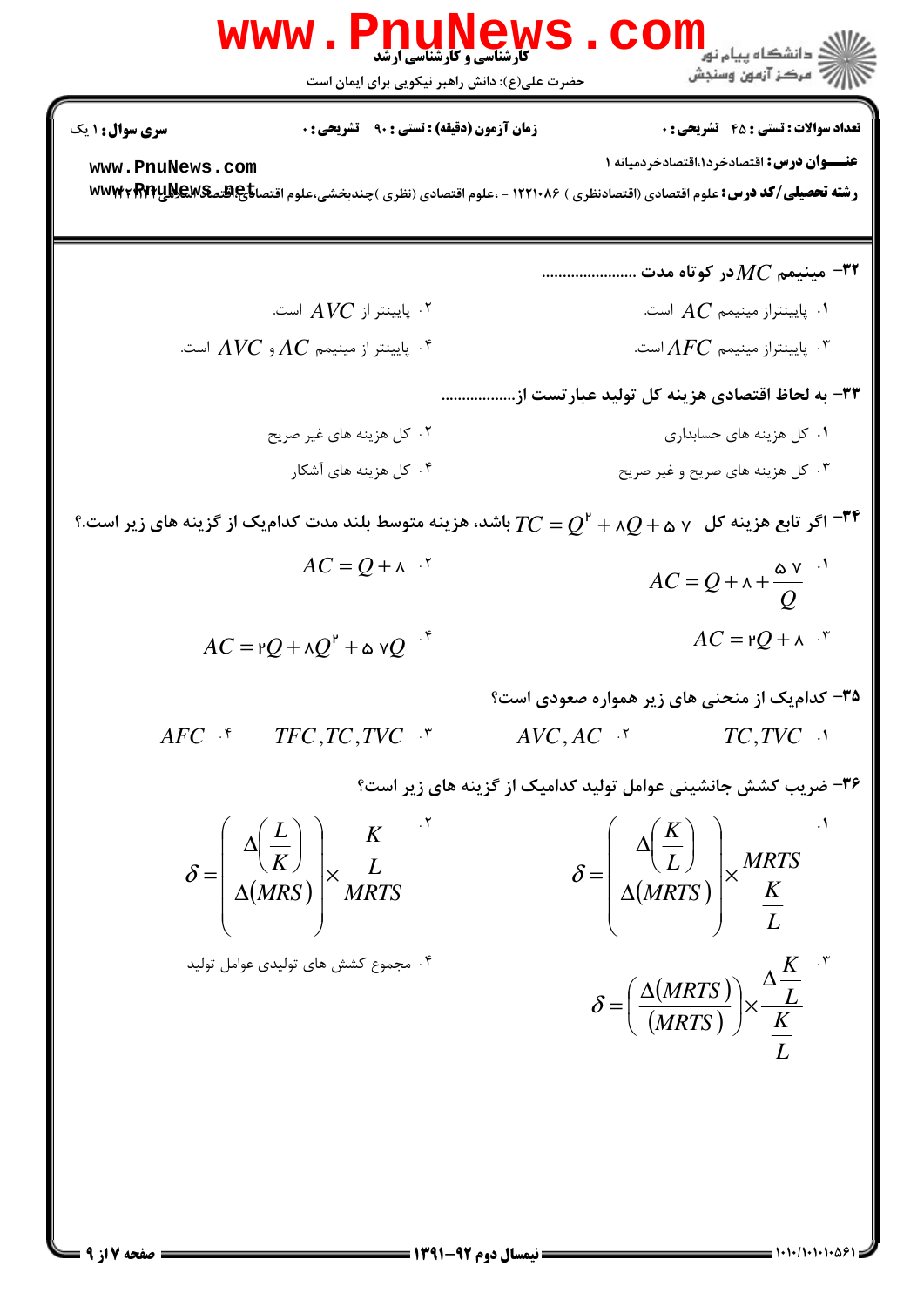| WWW.                | PyLagley (1:1)      |
|---------------------|---------------------|
| \n $\frac{1}{2}$ \n | \n $\frac{1}{2}$ \n |
| \n $\frac{1}{2}$ \n | \n $\frac{1}{2}$ \n |
| \n $\frac{1}{2}$ \n | \n $\frac{1}{2}$ \n |
| \n $\frac{1}{2}$ \n | \n $\frac{1}{2}$ \n |
| \n $\frac{1}{2}$ \n | \n $\frac{1}{2}$ \n |
| \n $\frac{1}{2}$ \n | \n $\frac{1}{2}$ \n |
| \n $\frac{1}{2}$ \n | \n $\frac{1}{2}$ \n |
| \n $\frac{1}{2}$ \n | \n $\frac{1}{2}$ \n |
| \n $\frac{1}{2}$ \n | \n $\frac{1}{2}$ \n |
| \n $\frac{1}{2}$ \n | \n $\frac{1}{2}$ \n |
| \n $\frac{1}{2}$ \n | \n $\frac{1}{2}$ \n |
| \n $\frac{1}{2}$ \n | \n $\frac{1}{2}$ \n |
| \n $\frac{1}{2}$ \n | \n $\frac{1}{2}$ \n |
| \n $\frac{1}{2}$ \n | \n $\frac{1}{2}$ \n |
| \n $\frac{1$        |                     |

a a c

 $= 1.1 - 11.1 - 11.89$ 

صفحه 7 از 9 =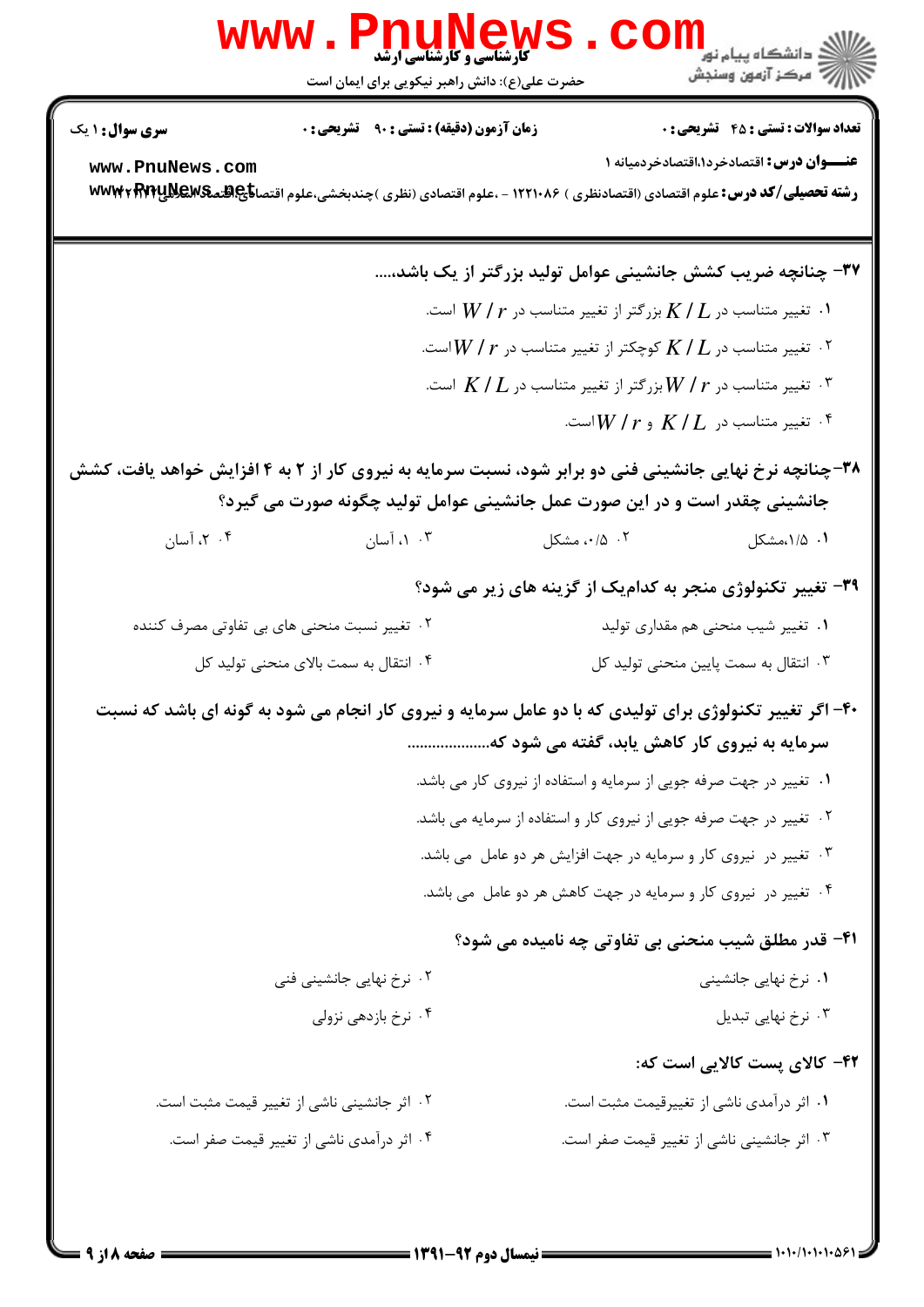